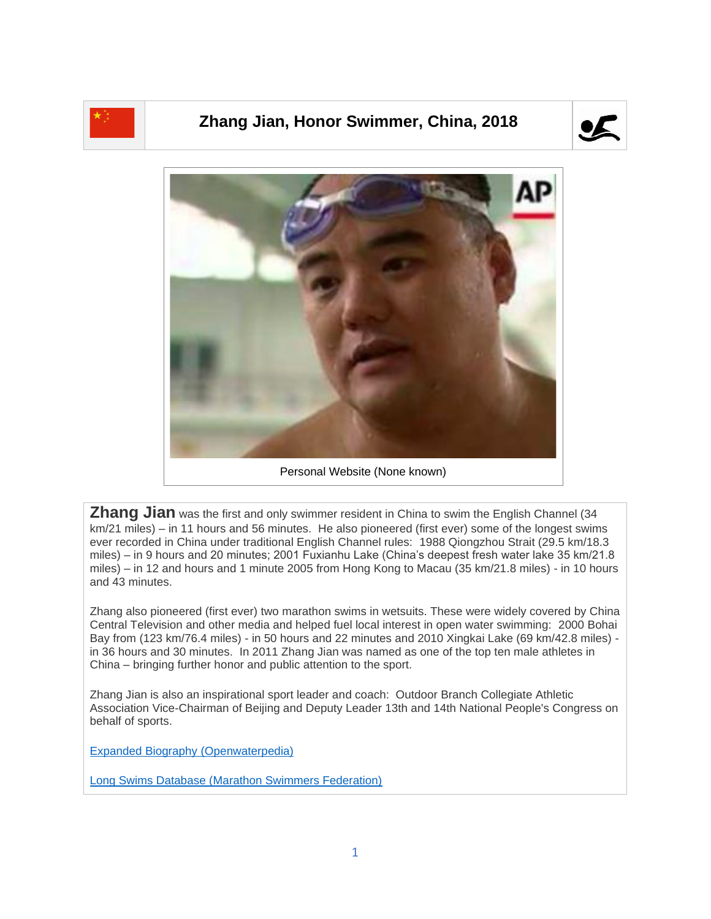

## **Zhang Jian, Honor Swimmer, China, 2018**





**Zhang Jian** was the first and only swimmer resident in China to swim the English Channel (34 km/21 miles) – in 11 hours and 56 minutes. He also pioneered (first ever) some of the longest swims ever recorded in China under traditional English Channel rules: 1988 Qiongzhou Strait (29.5 km/18.3 miles) – in 9 hours and 20 minutes; 2001 Fuxianhu Lake (China's deepest fresh water lake 35 km/21.8 miles) – in 12 and hours and 1 minute 2005 from Hong Kong to Macau (35 km/21.8 miles) - in 10 hours and 43 minutes.

Zhang also pioneered (first ever) two marathon swims in wetsuits. These were widely covered by China Central Television and other media and helped fuel local interest in open water swimming: 2000 Bohai Bay from (123 km/76.4 miles) - in 50 hours and 22 minutes and 2010 Xingkai Lake (69 km/42.8 miles) in 36 hours and 30 minutes. In 2011 Zhang Jian was named as one of the top ten male athletes in China – bringing further honor and public attention to the sport.

Zhang Jian is also an inspirational sport leader and coach: Outdoor Branch Collegiate Athletic Association Vice-Chairman of Beijing and Deputy Leader 13th and 14th National People's Congress on behalf of sports.

[Expanded Biography](https://www.openwaterpedia.com/index.php?title=Zhang_Jian) (Openwaterpedia)

Long Swims Database [\(Marathon Swimmers Federation\)](https://db.marathonswimmers.org/p/zhang-jian/)